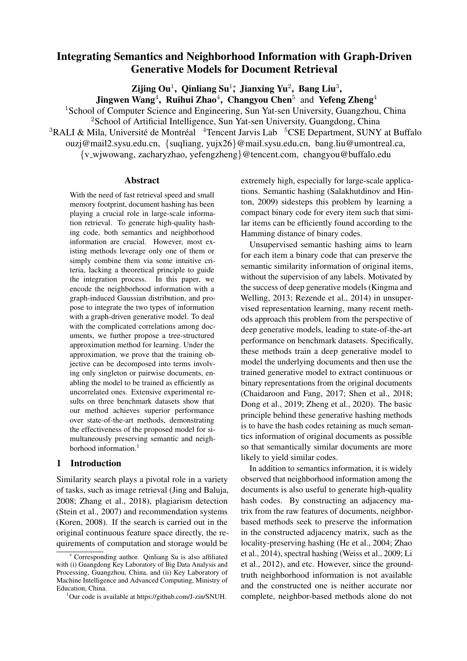# Integrating Semantics and Neighborhood Information with Graph-Driven Generative Models for Document Retrieval

Zijing Ou<sup>1</sup>, Qinliang Su<sup>1</sup><sup>\*</sup>, Jianxing Yu<sup>2</sup>, Bang Liu<sup>3</sup>,

Jingwen Wang<sup>4</sup>, Ruihui Zhao<sup>4</sup>, Changyou Chen<sup>5</sup> and Yefeng Zheng<sup>4</sup>

<sup>1</sup> School of Computer Science and Engineering, Sun Yat-sen University, Guangzhou, China <sup>2</sup>School of Artificial Intelligence, Sun Yat-sen University, Guangdong, China  ${}^{3}$ RALI & Mila, Université de Montréal  ${}^{4}$ Tencent Jarvis Lab  ${}^{5}$ CSE Department, SUNY at Buffalo

ouzj@mail2.sysu.edu.cn, {suqliang, yujx26}@mail.sysu.edu.cn, bang.liu@umontreal.ca,

{v wjwowang, zacharyzhao, yefengzheng}@tencent.com, changyou@buffalo.edu

### Abstract

With the need of fast retrieval speed and small memory footprint, document hashing has been playing a crucial role in large-scale information retrieval. To generate high-quality hashing code, both semantics and neighborhood information are crucial. However, most existing methods leverage only one of them or simply combine them via some intuitive criteria, lacking a theoretical principle to guide the integration process. In this paper, we encode the neighborhood information with a graph-induced Gaussian distribution, and propose to integrate the two types of information with a graph-driven generative model. To deal with the complicated correlations among documents, we further propose a tree-structured approximation method for learning. Under the approximation, we prove that the training objective can be decomposed into terms involving only singleton or pairwise documents, enabling the model to be trained as efficiently as uncorrelated ones. Extensive experimental results on three benchmark datasets show that our method achieves superior performance over state-of-the-art methods, demonstrating the effectiveness of the proposed model for simultaneously preserving semantic and neighborhood information.<sup>1</sup>

# 1 Introduction

Similarity search plays a pivotal role in a variety of tasks, such as image retrieval (Jing and Baluja, 2008; Zhang et al., 2018), plagiarism detection (Stein et al., 2007) and recommendation systems (Koren, 2008). If the search is carried out in the original continuous feature space directly, the requirements of computation and storage would be

extremely high, especially for large-scale applications. Semantic hashing (Salakhutdinov and Hinton, 2009) sidesteps this problem by learning a compact binary code for every item such that similar items can be efficiently found according to the Hamming distance of binary codes.

Unsupervised semantic hashing aims to learn for each item a binary code that can preserve the semantic similarity information of original items, without the supervision of any labels. Motivated by the success of deep generative models (Kingma and Welling, 2013; Rezende et al., 2014) in unsupervised representation learning, many recent methods approach this problem from the perspective of deep generative models, leading to state-of-the-art performance on benchmark datasets. Specifically, these methods train a deep generative model to model the underlying documents and then use the trained generative model to extract continuous or binary representations from the original documents (Chaidaroon and Fang, 2017; Shen et al., 2018; Dong et al., 2019; Zheng et al., 2020). The basic principle behind these generative hashing methods is to have the hash codes retaining as much semantics information of original documents as possible so that semantically similar documents are more likely to yield similar codes.

In addition to semantics information, it is widely observed that neighborhood information among the documents is also useful to generate high-quality hash codes. By constructing an adjacency matrix from the raw features of documents, neighborbased methods seek to preserve the information in the constructed adjacency matrix, such as the locality-preserving hashing (He et al., 2004; Zhao et al., 2014), spectral hashing (Weiss et al., 2009; Li et al., 2012), and etc. However, since the groundtruth neighborhood information is not available and the constructed one is neither accurate nor complete, neighbor-based methods alone do not

Corresponding author. Qinliang Su is also affiliated with (i) Guangdong Key Laboratory of Big Data Analysis and Processing, Guangzhou, China, and (ii) Key Laboratory of Machine Intelligence and Advanced Computing, Ministry of Education, China.

<sup>&</sup>lt;sup>1</sup>Our code is available at https://github.com/J-zin/SNUH.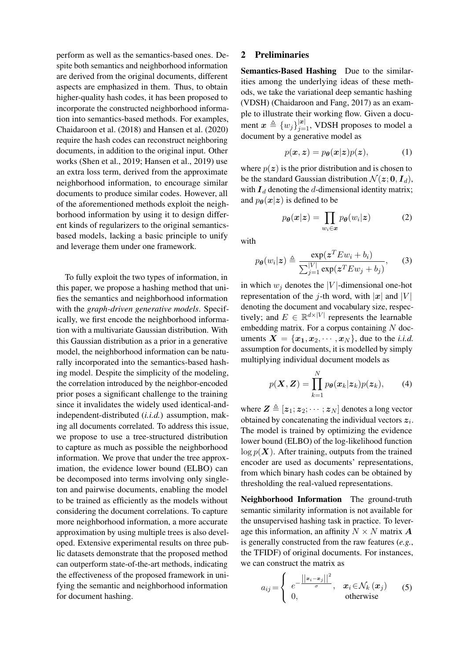perform as well as the semantics-based ones. Despite both semantics and neighborhood information are derived from the original documents, different aspects are emphasized in them. Thus, to obtain higher-quality hash codes, it has been proposed to incorporate the constructed neighborhood information into semantics-based methods. For examples, Chaidaroon et al. (2018) and Hansen et al. (2020) require the hash codes can reconstruct neighboring documents, in addition to the original input. Other works (Shen et al., 2019; Hansen et al., 2019) use an extra loss term, derived from the approximate neighborhood information, to encourage similar documents to produce similar codes. However, all of the aforementioned methods exploit the neighborhood information by using it to design different kinds of regularizers to the original semanticsbased models, lacking a basic principle to unify and leverage them under one framework.

To fully exploit the two types of information, in this paper, we propose a hashing method that unifies the semantics and neighborhood information with the *graph-driven generative models*. Specifically, we first encode the neighborhood information with a multivariate Gaussian distribution. With this Gaussian distribution as a prior in a generative model, the neighborhood information can be naturally incorporated into the semantics-based hashing model. Despite the simplicity of the modeling, the correlation introduced by the neighbor-encoded prior poses a significant challenge to the training since it invalidates the widely used identical-andindependent-distributed (*i.i.d.*) assumption, making all documents correlated. To address this issue, we propose to use a tree-structured distribution to capture as much as possible the neighborhood information. We prove that under the tree approximation, the evidence lower bound (ELBO) can be decomposed into terms involving only singleton and pairwise documents, enabling the model to be trained as efficiently as the models without considering the document correlations. To capture more neighborhood information, a more accurate approximation by using multiple trees is also developed. Extensive experimental results on three public datasets demonstrate that the proposed method can outperform state-of-the-art methods, indicating the effectiveness of the proposed framework in unifying the semantic and neighborhood information for document hashing.

### 2 Preliminaries

Semantics-Based Hashing Due to the similarities among the underlying ideas of these methods, we take the variational deep semantic hashing (VDSH) (Chaidaroon and Fang, 2017) as an example to illustrate their working flow. Given a document  $x \triangleq \{w_j\}_{j=1}^{|x|}$ , VDSH proposes to model a document by a generative model as

$$
p(\boldsymbol{x}, \boldsymbol{z}) = p_{\boldsymbol{\theta}}(\boldsymbol{x}|\boldsymbol{z})p(\boldsymbol{z}), \tag{1}
$$

where  $p(z)$  is the prior distribution and is chosen to be the standard Gaussian distribution  $\mathcal{N}(z; 0, I_d)$ , with  $I_d$  denoting the d-dimensional identity matrix; and  $p_{\theta}(x|z)$  is defined to be

$$
p_{\theta}(\boldsymbol{x}|\boldsymbol{z}) = \prod_{w_i \in \boldsymbol{x}} p_{\theta}(w_i|\boldsymbol{z}) \tag{2}
$$

with

$$
p_{\theta}(w_i|z) \triangleq \frac{\exp(z^T E w_i + b_i)}{\sum_{j=1}^{|V|} \exp(z^T E w_j + b_j)},
$$
 (3)

in which  $w_i$  denotes the |V|-dimensional one-hot representation of the j-th word, with  $|x|$  and  $|V|$ denoting the document and vocabulary size, respectively; and  $E \in \mathbb{R}^{d \times |V|}$  represents the learnable embedding matrix. For a corpus containing  $N$  documents  $X = \{x_1, x_2, \dots, x_N\}$ , due to the *i.i.d.* assumption for documents, it is modelled by simply multiplying individual document models as

$$
p(\boldsymbol{X}, \boldsymbol{Z}) = \prod_{k=1}^{N} p_{\boldsymbol{\theta}}(\boldsymbol{x}_k | \boldsymbol{z}_k) p(\boldsymbol{z}_k), \qquad (4)
$$

where  $\mathbf{Z} \triangleq [z_1; z_2; \cdots; z_N]$  denotes a long vector obtained by concatenating the individual vectors  $z_i$ . The model is trained by optimizing the evidence lower bound (ELBO) of the log-likelihood function  $\log p(X)$ . After training, outputs from the trained encoder are used as documents' representations, from which binary hash codes can be obtained by thresholding the real-valued representations.

Neighborhood Information The ground-truth semantic similarity information is not available for the unsupervised hashing task in practice. To leverage this information, an affinity  $N \times N$  matrix  $\boldsymbol{A}$ is generally constructed from the raw features (*e.g.*, the TFIDF) of original documents. For instances, we can construct the matrix as

$$
a_{ij} = \begin{cases} e^{-\frac{||\mathbf{x}_i - \mathbf{x}_j||^2}{\sigma}}, & \mathbf{x}_i \in \mathcal{N}_k(\mathbf{x}_j) \\ 0, & \text{otherwise} \end{cases}
$$
(5)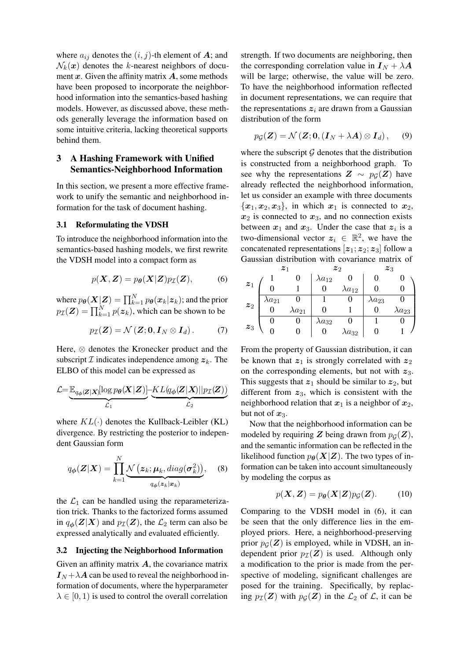where  $a_{ij}$  denotes the  $(i, j)$ -th element of A; and  $\mathcal{N}_k(x)$  denotes the k-nearest neighbors of document x. Given the affinity matrix  $\vec{A}$ , some methods have been proposed to incorporate the neighborhood information into the semantics-based hashing models. However, as discussed above, these methods generally leverage the information based on some intuitive criteria, lacking theoretical supports behind them.

# 3 A Hashing Framework with Unified Semantics-Neighborhood Information

In this section, we present a more effective framework to unify the semantic and neighborhood information for the task of document hashing.

### 3.1 Reformulating the VDSH

To introduce the neighborhood information into the semantics-based hashing models, we first rewrite the VDSH model into a compact form as

$$
p(\mathbf{X}, \mathbf{Z}) = p_{\theta}(\mathbf{X}|\mathbf{Z})p_{\mathcal{I}}(\mathbf{Z}), \tag{6}
$$

where  $p_{\bm{\theta}}(\bm{X}|\bm{Z}) = \prod_{k=1}^{N} p_{\bm{\theta}}(\bm{x}_k|\bm{z}_k)$ ; and the prior  $p_{\mathcal{I}}(\mathbf{Z}) = \prod_{k=1}^{N} p(\mathbf{z}_k)$ , which can be shown to be

$$
p_{\mathcal{I}}(\boldsymbol{Z}) = \mathcal{N}(\boldsymbol{Z}; \boldsymbol{0}, \boldsymbol{I}_N \otimes \boldsymbol{I}_d). \tag{7}
$$

Here, ⊗ denotes the Kronecker product and the subscript  $\mathcal I$  indicates independence among  $z_k$ . The ELBO of this model can be expressed as

$$
\mathcal{L}\!\!=\!\underbrace{\mathbb{E}_{q_{\boldsymbol{\phi}}(\boldsymbol{Z}|\boldsymbol{X})}\!\!\left[\log p_{\boldsymbol{\theta}}(\boldsymbol{X}|\boldsymbol{Z})\right]}\!\!-\!\!\!\underbrace{KL(q_{\boldsymbol{\phi}}(\boldsymbol{Z}|\boldsymbol{X})||p_{\mathcal{I}}(\boldsymbol{Z}))}_{\mathcal{L}_2}
$$

where  $KL(\cdot)$  denotes the Kullback-Leibler (KL) divergence. By restricting the posterior to independent Gaussian form

$$
q_{\boldsymbol{\phi}}(\boldsymbol{Z}|\boldsymbol{X}) = \prod_{k=1}^{N} \underbrace{\mathcal{N}\left(\boldsymbol{z}_k; \boldsymbol{\mu}_k, diag(\boldsymbol{\sigma}_k^2)\right)}_{q_{\boldsymbol{\phi}}(\boldsymbol{z}_k|\boldsymbol{x}_k)}, \quad (8)
$$

the  $\mathcal{L}_1$  can be handled using the reparameterization trick. Thanks to the factorized forms assumed in  $q_{\phi}(Z|X)$  and  $p_{\mathcal{I}}(Z)$ , the  $\mathcal{L}_2$  term can also be expressed analytically and evaluated efficiently.

#### 3.2 Injecting the Neighborhood Information

Given an affinity matrix  $A$ , the covariance matrix  $I_N + \lambda A$  can be used to reveal the neighborhood information of documents, where the hyperparameter  $\lambda \in [0, 1)$  is used to control the overall correlation

strength. If two documents are neighboring, then the corresponding correlation value in  $I_N + \lambda A$ will be large; otherwise, the value will be zero. To have the neighborhood information reflected in document representations, we can require that the representations  $z_i$  are drawn from a Gaussian distribution of the form

$$
p_{\mathcal{G}}(\mathbf{Z}) = \mathcal{N}(\mathbf{Z}; \mathbf{0}, (\mathbf{I}_N + \lambda \mathbf{A}) \otimes \mathbf{I}_d), \quad (9)
$$

where the subscript  $G$  denotes that the distribution is constructed from a neighborhood graph. To see why the representations  $Z \sim p_G(Z)$  have already reflected the neighborhood information, let us consider an example with three documents  ${x_1, x_2, x_3}$ , in which  $x_1$  is connected to  $x_2$ ,  $x_2$  is connected to  $x_3$ , and no connection exists between  $x_1$  and  $x_3$ . Under the case that  $z_i$  is a two-dimensional vector  $z_i \in \mathbb{R}^2$ , we have the concatenated representations  $[z_1; z_2; z_3]$  follow a Gaussian distribution with covariance matrix of

|                    | $\boldsymbol{z}_1$ |                  |                  | $\boldsymbol{z}_2$ | $\boldsymbol{z}_3$ |                  |  |
|--------------------|--------------------|------------------|------------------|--------------------|--------------------|------------------|--|
|                    |                    |                  | $\lambda a_{12}$ |                    |                    |                  |  |
| $\boldsymbol{z}_1$ |                    |                  |                  | $\lambda a_{12}$   |                    |                  |  |
| $\boldsymbol{z}_2$ | $\lambda a_{21}$   |                  |                  |                    | $\lambda a_{23}$   |                  |  |
|                    |                    | $\lambda a_{21}$ |                  |                    | U                  | $\lambda a_{23}$ |  |
| $\boldsymbol{z}_3$ |                    |                  | $\lambda a_{32}$ |                    |                    |                  |  |
|                    |                    |                  |                  | $\lambda a_{32}$   |                    |                  |  |

From the property of Gaussian distribution, it can be known that  $z_1$  is strongly correlated with  $z_2$ on the corresponding elements, but not with  $z_3$ . This suggests that  $z_1$  should be similar to  $z_2$ , but different from  $z_3$ , which is consistent with the neighborhood relation that  $x_1$  is a neighbor of  $x_2$ , but not of  $x_3$ .

Now that the neighborhood information can be modeled by requiring Z being drawn from  $p_G(Z)$ , and the semantic information can be reflected in the likelihood function  $p_{\theta}(X|Z)$ . The two types of information can be taken into account simultaneously by modeling the corpus as

$$
p(\mathbf{X}, \mathbf{Z}) = p_{\theta}(\mathbf{X}|\mathbf{Z})p_{\mathcal{G}}(\mathbf{Z}).
$$
 (10)

Comparing to the VDSH model in (6), it can be seen that the only difference lies in the employed priors. Here, a neighborhood-preserving prior  $p_G(\mathbf{Z})$  is employed, while in VDSH, an independent prior  $p_{\mathcal{I}}(Z)$  is used. Although only a modification to the prior is made from the perspective of modeling, significant challenges are posed for the training. Specifically, by replacing  $p_{\mathcal{I}}(\mathbf{Z})$  with  $p_{\mathcal{G}}(\mathbf{Z})$  in the  $\mathcal{L}_2$  of  $\mathcal{L}$ , it can be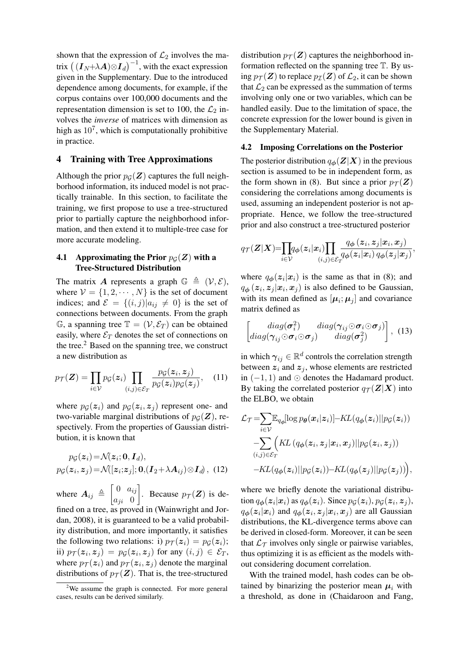shown that the expression of  $\mathcal{L}_2$  involves the matrix  $((\boldsymbol{I}_N + \lambda \boldsymbol{A}) \otimes \boldsymbol{I}_d)^{-1}$ , with the exact expression given in the Supplementary. Due to the introduced dependence among documents, for example, if the corpus contains over 100,000 documents and the representation dimension is set to 100, the  $\mathcal{L}_2$  involves the *inverse* of matrices with dimension as high as  $10^7$ , which is computationally prohibitive in practice.

# 4 Training with Tree Approximations

Although the prior  $p_G(\mathbf{Z})$  captures the full neighborhood information, its induced model is not practically trainable. In this section, to facilitate the training, we first propose to use a tree-structured prior to partially capture the neighborhood information, and then extend it to multiple-tree case for more accurate modeling.

### 4.1 Approximating the Prior  $p_G(Z)$  with a Tree-Structured Distribution

The matrix A represents a graph  $\mathbb{G} \triangleq (\mathcal{V}, \mathcal{E}),$ where  $V = \{1, 2, \dots, N\}$  is the set of document indices; and  $\mathcal{E} = \{(i, j) | a_{ij} \neq 0\}$  is the set of connections between documents. From the graph  $\mathbb{G}$ , a spanning tree  $\mathbb{T} = (\mathcal{V}, \mathcal{E}_T)$  can be obtained easily, where  $\mathcal{E}_T$  denotes the set of connections on the tree. $<sup>2</sup>$  Based on the spanning tree, we construct</sup> a new distribution as

$$
p_{\mathcal{T}}(\boldsymbol{Z}) = \prod_{i \in \mathcal{V}} p_{\mathcal{G}}(\boldsymbol{z}_i) \prod_{(i,j) \in \mathcal{E}_T} \frac{p_{\mathcal{G}}(\boldsymbol{z}_i, \boldsymbol{z}_j)}{p_{\mathcal{G}}(\boldsymbol{z}_i) p_{\mathcal{G}}(\boldsymbol{z}_j)},\quad(11)
$$

where  $p_{\mathcal{G}}(z_i)$  and  $p_{\mathcal{G}}(z_i, z_j)$  represent one- and two-variable marginal distributions of  $p_G(\mathbf{Z})$ , respectively. From the properties of Gaussian distribution, it is known that

$$
pg(\boldsymbol{z}_i) = \mathcal{N}(\boldsymbol{z}_i; \boldsymbol{0}, \boldsymbol{I}_d),
$$
  
 
$$
pg(\boldsymbol{z}_i, \boldsymbol{z}_j) = \mathcal{N}([\boldsymbol{z}_i; \boldsymbol{z}_j]; \boldsymbol{0}, (\boldsymbol{I}_2 + \lambda \boldsymbol{A}_{ij}) \otimes \boldsymbol{I}_d),
$$
 (12)

where  $A_{ij} \triangleq \begin{bmatrix} 0 & a_{ij} \\ a_{ij} & 0 \end{bmatrix}$  $a_{ji}$  0 . Because  $p_{\mathcal{T}}(\mathbf{Z})$  is defined on a tree, as proved in (Wainwright and Jordan, 2008), it is guaranteed to be a valid probability distribution, and more importantly, it satisfies the following two relations: i)  $p_{\mathcal{T}}(z_i) = p_{\mathcal{G}}(z_i);$ ii)  $p_{\mathcal{T}}(z_i, z_j) = p_{\mathcal{G}}(z_i, z_j)$  for any  $(i, j) \in \mathcal{E}_T$ , where  $p_{\mathcal{T}}(z_i)$  and  $p_{\mathcal{T}}(z_i, z_j)$  denote the marginal distributions of  $p_{\mathcal{T}}(Z)$ . That is, the tree-structured

distribution  $p_{\mathcal{T}}(Z)$  captures the neighborhood information reflected on the spanning tree T. By using  $p_{\mathcal{T}}(Z)$  to replace  $p_{\mathcal{I}}(Z)$  of  $\mathcal{L}_2$ , it can be shown that  $\mathcal{L}_2$  can be expressed as the summation of terms involving only one or two variables, which can be handled easily. Due to the limitation of space, the concrete expression for the lower bound is given in the Supplementary Material.

#### 4.2 Imposing Correlations on the Posterior

The posterior distribution  $q_{\phi}(Z|X)$  in the previous section is assumed to be in independent form, as the form shown in (8). But since a prior  $p_{\mathcal{T}}(\mathbf{Z})$ considering the correlations among documents is used, assuming an independent posterior is not appropriate. Hence, we follow the tree-structured prior and also construct a tree-structured posterior

$$
q_{\mathcal{T}}(\boldsymbol{Z}|\boldsymbol{X})\!\!=\!\!\prod_{i\in\mathcal{V}}\!\!q_{\boldsymbol{\phi}}(\boldsymbol{z}_i|\boldsymbol{x}_i)\!\!\prod_{(i,j)\in\mathcal{E}_{T}}\!\!\!\frac{q_{\boldsymbol{\phi}}\left(\boldsymbol{z}_i,\boldsymbol{z}_j|\boldsymbol{x}_i,\boldsymbol{x}_j\right)}{q_{\boldsymbol{\phi}}(\boldsymbol{z}_i|\boldsymbol{x}_i)\,q_{\boldsymbol{\phi}}(\boldsymbol{z}_j|\boldsymbol{x}_j)},
$$

where  $q_{\phi}(z_i|x_i)$  is the same as that in (8); and  $q_{\boldsymbol{\phi}}(\boldsymbol{z}_i, \boldsymbol{z}_j | \boldsymbol{x}_i, \boldsymbol{x}_j)$  is also defined to be Gaussian, with its mean defined as  $[\mu_i; \mu_j]$  and covariance matrix defined as

$$
\begin{bmatrix} diag(\sigma_i^2) & diag(\gamma_{ij} \odot \sigma_i \odot \sigma_j) \\ diag(\gamma_{ij} \odot \sigma_i \odot \sigma_j) & diag(\sigma_j^2) \end{bmatrix}, (13)
$$

in which  $\gamma_{ij} \in \mathbb{R}^d$  controls the correlation strength between  $z_i$  and  $z_j$ , whose elements are restricted in  $(-1, 1)$  and  $\odot$  denotes the Hadamard product. By taking the correlated posterior  $q_{\mathcal{T}}(\mathbf{Z}|\mathbf{X})$  into the ELBO, we obtain

$$
\mathcal{L}_{\mathcal{T}} = \sum_{i \in \mathcal{V}} \mathbb{E}_{q\phi}[\log p_{\theta}(\mathbf{x}_i|\mathbf{z}_i)] - KL(q_{\phi}(\mathbf{z}_i)||p_{\mathcal{G}}(\mathbf{z}_i))
$$

$$
- \sum_{(i,j) \in \mathcal{E}_{\mathcal{T}}} \Big( KL(q_{\phi}(\mathbf{z}_i, \mathbf{z}_j|\mathbf{x}_i, \mathbf{x}_j) || p_{\mathcal{G}}(\mathbf{z}_i, \mathbf{z}_j))
$$

$$
- KL(q_{\phi}(\mathbf{z}_i)||p_{\mathcal{G}}(\mathbf{z}_i)) - KL(q_{\phi}(\mathbf{z}_j)||p_{\mathcal{G}}(\mathbf{z}_j)) \Big),
$$

where we briefly denote the variational distribution  $q_{\boldsymbol{\phi}}(\boldsymbol{z}_i|\boldsymbol{x}_i)$  as  $q_{\boldsymbol{\phi}}(\boldsymbol{z}_i)$ . Since  $p_{\mathcal{G}}(\boldsymbol{z}_i), p_{\mathcal{G}}(\boldsymbol{z}_i, \boldsymbol{z}_j)$ ,  $q_{\boldsymbol{\phi}}(\boldsymbol{z}_i|\boldsymbol{x}_i)$  and  $q_{\boldsymbol{\phi}}(\boldsymbol{z}_i, \boldsymbol{z}_j|\boldsymbol{x}_i, \boldsymbol{x}_j)$  are all Gaussian distributions, the KL-divergence terms above can be derived in closed-form. Moreover, it can be seen that  $\mathcal{L}_{\mathcal{T}}$  involves only single or pairwise variables, thus optimizing it is as efficient as the models without considering document correlation.

With the trained model, hash codes can be obtained by binarizing the posterior mean  $\mu_i$  with a threshold, as done in (Chaidaroon and Fang,

 $2$ We assume the graph is connected. For more general cases, results can be derived similarly.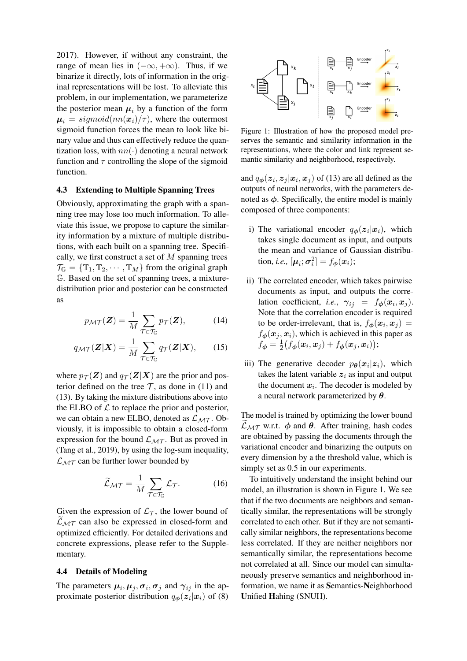2017). However, if without any constraint, the range of mean lies in  $(-\infty, +\infty)$ . Thus, if we binarize it directly, lots of information in the original representations will be lost. To alleviate this problem, in our implementation, we parameterize the posterior mean  $\mu_i$  by a function of the form  $\mu_i = sigmoid(nn(\mathbf{x}_i)/\tau)$ , where the outermost sigmoid function forces the mean to look like binary value and thus can effectively reduce the quantization loss, with  $nn(\cdot)$  denoting a neural network function and  $\tau$  controlling the slope of the sigmoid function.

### 4.3 Extending to Multiple Spanning Trees

Obviously, approximating the graph with a spanning tree may lose too much information. To alleviate this issue, we propose to capture the similarity information by a mixture of multiple distributions, with each built on a spanning tree. Specifically, we first construct a set of  $M$  spanning trees  $\mathcal{T}_{\mathbb{G}} = {\{\mathbb{T}_1, \mathbb{T}_2, \cdots, \mathbb{T}_M\}}$  from the original graph G. Based on the set of spanning trees, a mixturedistribution prior and posterior can be constructed as

$$
p_{\mathcal{MT}}(\mathbf{Z}) = \frac{1}{M} \sum_{\mathcal{T} \in \mathcal{T}_{\mathbb{G}}} p_{\mathcal{T}}(\mathbf{Z}), \tag{14}
$$

$$
q_{\mathcal{M}\mathcal{T}}(\mathbf{Z}|\mathbf{X}) = \frac{1}{M} \sum_{\mathcal{T} \in \mathcal{T}_{\mathbb{G}}} q_{\mathcal{T}}(\mathbf{Z}|\mathbf{X}), \qquad (15)
$$

where  $p_{\mathcal{T}}(Z)$  and  $q_{\mathcal{T}}(Z|X)$  are the prior and posterior defined on the tree  $\mathcal T$ , as done in (11) and (13). By taking the mixture distributions above into the ELBO of  $\mathcal L$  to replace the prior and posterior, we can obtain a new ELBO, denoted as  $\mathcal{L}_{MT}$ . Obviously, it is impossible to obtain a closed-form expression for the bound  $\mathcal{L}_{MT}$ . But as proved in (Tang et al., 2019), by using the log-sum inequality,  $\mathcal{L}_{MT}$  can be further lower bounded by

$$
\widetilde{\mathcal{L}}_{\mathcal{MT}} = \frac{1}{M} \sum_{\mathcal{T} \in \mathcal{T}_{\mathbb{G}}} \mathcal{L}_{\mathcal{T}}.
$$
 (16)

Given the expression of  $\mathcal{L}_{\mathcal{T}}$ , the lower bound of  $\mathcal{L}_{MT}$  can also be expressed in closed-form and optimized efficiently. For detailed derivations and concrete expressions, please refer to the Supplementary.

#### 4.4 Details of Modeling

The parameters  $\mu_i, \mu_j, \sigma_i, \sigma_j$  and  $\gamma_{ij}$  in the approximate posterior distribution  $q_{\phi}(z_i|x_i)$  of (8)



Figure 1: Illustration of how the proposed model preserves the semantic and similarity information in the representations, where the color and link represent semantic similarity and neighborhood, respectively.

and  $q_{\phi}(z_i, z_j | x_i, x_j)$  of (13) are all defined as the outputs of neural networks, with the parameters denoted as  $\phi$ . Specifically, the entire model is mainly composed of three components:

- i) The variational encoder  $q_{\phi}(z_i|x_i)$ , which takes single document as input, and outputs the mean and variance of Gaussian distribution, *i.e.*,  $[\mu_i; \sigma_i^2] = f_{\phi}(x_i);$
- ii) The correlated encoder, which takes pairwise documents as input, and outputs the correlation coefficient, *i.e.*,  $\gamma_{ij} = f_{\phi}(x_i, x_j)$ . Note that the correlation encoder is required to be order-irrelevant, that is,  $f_{\phi}(\mathbf{x}_i, \mathbf{x}_j) =$  $f_{\phi}(\boldsymbol{x}_j, \boldsymbol{x}_i)$ , which is achieved in this paper as  $f_{\boldsymbol{\phi}} = \frac{1}{2}$  $\frac{1}{2}\big(f_{\boldsymbol{\phi}}(\boldsymbol{x}_i, \boldsymbol{x}_j) + f_{\boldsymbol{\phi}}(\boldsymbol{x}_j, \boldsymbol{x}_i)\big);$
- iii) The generative decoder  $p_{\theta}(x_i|z_i)$ , which takes the latent variable  $z_i$  as input and output the document  $x_i$ . The decoder is modeled by a neural network parameterized by  $\theta$ .

The model is trained by optimizing the lower bound  $\mathcal{L}_{MT}$  w.r.t.  $\phi$  and  $\theta$ . After training, hash codes are obtained by passing the documents through the variational encoder and binarizing the outputs on every dimension by a the threshold value, which is simply set as 0.5 in our experiments.

To intuitively understand the insight behind our model, an illustration is shown in Figure 1. We see that if the two documents are neighbors and semantically similar, the representations will be strongly correlated to each other. But if they are not semantically similar neighbors, the representations become less correlated. If they are neither neighbors nor semantically similar, the representations become not correlated at all. Since our model can simultaneously preserve semantics and neighborhood information, we name it as Semantics-Neighborhood Unified Hahing (SNUH).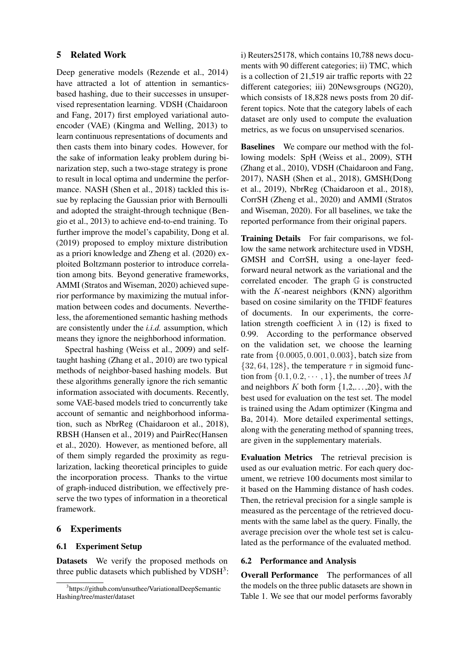### 5 Related Work

Deep generative models (Rezende et al., 2014) have attracted a lot of attention in semanticsbased hashing, due to their successes in unsupervised representation learning. VDSH (Chaidaroon and Fang, 2017) first employed variational autoencoder (VAE) (Kingma and Welling, 2013) to learn continuous representations of documents and then casts them into binary codes. However, for the sake of information leaky problem during binarization step, such a two-stage strategy is prone to result in local optima and undermine the performance. NASH (Shen et al., 2018) tackled this issue by replacing the Gaussian prior with Bernoulli and adopted the straight-through technique (Bengio et al., 2013) to achieve end-to-end training. To further improve the model's capability, Dong et al. (2019) proposed to employ mixture distribution as a priori knowledge and Zheng et al. (2020) exploited Boltzmann posterior to introduce correlation among bits. Beyond generative frameworks, AMMI (Stratos and Wiseman, 2020) achieved superior performance by maximizing the mutual information between codes and documents. Nevertheless, the aforementioned semantic hashing methods are consistently under the *i.i.d.* assumption, which means they ignore the neighborhood information.

Spectral hashing (Weiss et al., 2009) and selftaught hashing (Zhang et al., 2010) are two typical methods of neighbor-based hashing models. But these algorithms generally ignore the rich semantic information associated with documents. Recently, some VAE-based models tried to concurrently take account of semantic and neighborhood information, such as NbrReg (Chaidaroon et al., 2018), RBSH (Hansen et al., 2019) and PairRec(Hansen et al., 2020). However, as mentioned before, all of them simply regarded the proximity as regularization, lacking theoretical principles to guide the incorporation process. Thanks to the virtue of graph-induced distribution, we effectively preserve the two types of information in a theoretical framework.

# 6 Experiments

#### 6.1 Experiment Setup

Datasets We verify the proposed methods on three public datasets which published by VDSH<sup>3</sup>: i) Reuters25178, which contains 10,788 news documents with 90 different categories; ii) TMC, which is a collection of 21,519 air traffic reports with 22 different categories; iii) 20Newsgroups (NG20), which consists of 18,828 news posts from 20 different topics. Note that the category labels of each dataset are only used to compute the evaluation metrics, as we focus on unsupervised scenarios.

Baselines We compare our method with the following models: SpH (Weiss et al., 2009), STH (Zhang et al., 2010), VDSH (Chaidaroon and Fang, 2017), NASH (Shen et al., 2018), GMSH(Dong et al., 2019), NbrReg (Chaidaroon et al., 2018), CorrSH (Zheng et al., 2020) and AMMI (Stratos and Wiseman, 2020). For all baselines, we take the reported performance from their original papers.

Training Details For fair comparisons, we follow the same network architecture used in VDSH, GMSH and CorrSH, using a one-layer feedforward neural network as the variational and the correlated encoder. The graph G is constructed with the  $K$ -nearest neighbors (KNN) algorithm based on cosine similarity on the TFIDF features of documents. In our experiments, the correlation strength coefficient  $\lambda$  in (12) is fixed to 0.99. According to the performance observed on the validation set, we choose the learning rate from {0.0005, 0.001, 0.003}, batch size from  $\{32, 64, 128\}$ , the temperature  $\tau$  in sigmoid function from  $\{0.1, 0.2, \dots, 1\}$ , the number of trees M and neighbors K both form  $\{1,2,\ldots,20\}$ , with the best used for evaluation on the test set. The model is trained using the Adam optimizer (Kingma and Ba, 2014). More detailed experimental settings, along with the generating method of spanning trees, are given in the supplementary materials.

Evaluation Metrics The retrieval precision is used as our evaluation metric. For each query document, we retrieve 100 documents most similar to it based on the Hamming distance of hash codes. Then, the retrieval precision for a single sample is measured as the percentage of the retrieved documents with the same label as the query. Finally, the average precision over the whole test set is calculated as the performance of the evaluated method.

### 6.2 Performance and Analysis

Overall Performance The performances of all the models on the three public datasets are shown in Table 1. We see that our model performs favorably

<sup>3</sup> https://github.com/unsuthee/VariationalDeepSemantic Hashing/tree/master/dataset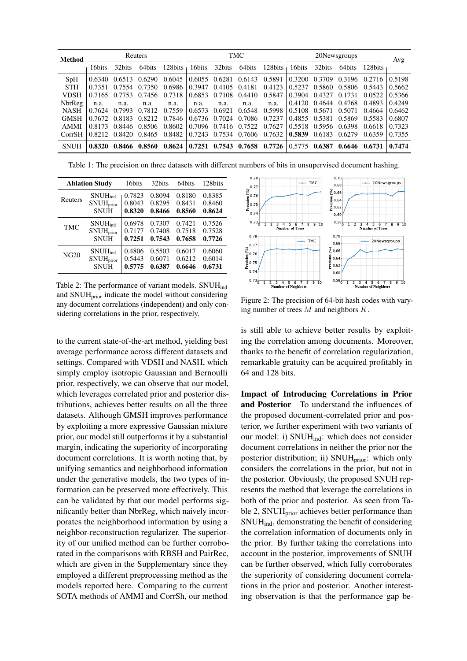| Method      | Reuters |        |        | TMC     |        |               | 20Newsgroups |         |               | Avg           |        |         |        |
|-------------|---------|--------|--------|---------|--------|---------------|--------------|---------|---------------|---------------|--------|---------|--------|
|             | 16bits  | 32bits | 64bits | 128bits | 16bits | 32bits        | 64bits       | 128bits | 16bits        | 32bits        | 64bits | 128bits |        |
| SpH         | 0.6340  | 0.6513 | 0.6290 | 0.6045  | 0.6055 | 0.6281        | 0.6143       | 0.5891  | 0.3200        | 0.3709        | 0.3196 | 0.2716  | 0.5198 |
| <b>STH</b>  | 0.7351  | 0.7554 | 0.7350 | 0.6986  | 0.3947 | 0.4105        | 0.4181       | 0.4123  | 0.5237        | 0.5860        | 0.5806 | 0.5443  | 0.5662 |
| <b>VDSH</b> | 0.7165  | 0.7753 | 0.7456 | 0.7318  | 0.6853 | 0.7108        | 0.4410       | 0.5847  | 0.3904        | 0.4327        | 0.1731 | 0.0522  | 0.5366 |
| NbrReg      | n.a.    | n.a.   | n.a.   | n.a.    | n.a.   | n.a.          | n.a.         | n.a.    | 0.4120        | 0.4644        | 0.4768 | 0.4893  | 0.4249 |
| <b>NASH</b> | 0.7624  | 0.7993 | 0.7812 | 0.7559  | 0.6573 | 0.6921        | 0.6548       | 0.5998  | 0.5108        | 0.5671        | 0.5071 | 0.4664  | 0.6462 |
| <b>GMSH</b> | 0.7672  | 0.8183 | 0.8212 | 0.7846  |        | 0.6736 0.7024 | 0.7086       | 0.7237  | 0.4855 0.5381 |               | 0.5869 | 0.5583  | 0.6807 |
| <b>AMMI</b> | 0.8173  | 0.8446 | 0.8506 | 0.8602  |        | 0.7096 0.7416 | 0.7522       | 0.7627  |               | 0.5518 0.5956 | 0.6398 | 0.6618  | 0.7323 |
| CorrSH      | 0.8212  | 0.8420 | 0.8465 | 0.8482  | 0.7243 | 0.7534        | 0.7606       | 0.7632  | 0.5839        | 0.6183        | 0.6279 | 0.6359  | 0.7355 |
| <b>SNUH</b> | 0.8320  | 0.8466 | 0.8560 | 0.8624  | 0.7251 | 0.7543        | 0.7658       | 0.7726  | 0.5775        | 0.6387        | 0.6646 | 0.6731  | 0.7474 |

Table 1: The precision on three datasets with different numbers of bits in unsupervised document hashing.

|                                                                     | <b>Ablation Study</b> | 16bits                     | 32bits                     | 64bits                     | 128bits                    |
|---------------------------------------------------------------------|-----------------------|----------------------------|----------------------------|----------------------------|----------------------------|
| Reuters                                                             | $SNUH_{ind}$          | 0.7823                     | 0.8094                     | 0.8180                     | 0.8385                     |
|                                                                     | SNUH <sub>prior</sub> | 0.8043                     | 0.8295                     | 0.8431                     | 0.8460                     |
|                                                                     | <b>SNUH</b>           | 0.8320                     | 0.8466                     | 0.8560                     | 0.8624                     |
| <b>TMC</b>                                                          | $SNUH_{ind}$          | 0.6978                     | 0.7307                     | 0.7421                     | 0.7526                     |
|                                                                     | <b>SNUH</b> prior     | 0.7177                     | 0.7408                     | 0.7518                     | 0.7528                     |
|                                                                     | <b>SNUH</b>           | 0.7251                     | 0.7543                     | 0.7658                     | 0.7726                     |
| $SNUH_{ind}$<br><b>NG20</b><br>SNUH <sub>prior</sub><br><b>SNUH</b> |                       | 0.4806<br>0.5443<br>0.5775 | 0.5503<br>0.6071<br>0.6387 | 0.6017<br>0.6212<br>0.6646 | 0.6060<br>0.6014<br>0.6731 |

Table 2: The performance of variant models. SNUH<sub>ind</sub> and  $SNUH<sub>prior</sub>$  indicate the model without considering any document correlations (independent) and only considering correlations in the prior, respectively.

to the current state-of-the-art method, yielding best average performance across different datasets and settings. Compared with VDSH and NASH, which simply employ isotropic Gaussian and Bernoulli prior, respectively, we can observe that our model, which leverages correlated prior and posterior distributions, achieves better results on all the three datasets. Although GMSH improves performance by exploiting a more expressive Gaussian mixture prior, our model still outperforms it by a substantial margin, indicating the superiority of incorporating document correlations. It is worth noting that, by unifying semantics and neighborhood information under the generative models, the two types of information can be preserved more effectively. This can be validated by that our model performs significantly better than NbrReg, which naively incorporates the neighborhood information by using a neighbor-reconstruction regularizer. The superiority of our unified method can be further corroborated in the comparisons with RBSH and PairRec, which are given in the Supplementary since they employed a different preprocessing method as the models reported here. Comparing to the current SOTA methods of AMMI and CorrSh, our method



Figure 2: The precision of 64-bit hash codes with varying number of trees  $M$  and neighbors  $K$ .

is still able to achieve better results by exploiting the correlation among documents. Moreover, thanks to the benefit of correlation regularization, remarkable gratuity can be acquired profitably in 64 and 128 bits.

Impact of Introducing Correlations in Prior and Posterior To understand the influences of the proposed document-correlated prior and posterior, we further experiment with two variants of our model: i) SNUH<sub>ind</sub>: which does not consider document correlations in neither the prior nor the posterior distribution; ii) SNUH<sub>prior</sub>: which only considers the correlations in the prior, but not in the posterior. Obviously, the proposed SNUH represents the method that leverage the correlations in both of the prior and posterior. As seen from Table 2, SNUH<sub>prior</sub> achieves better performance than SNUHind, demonstrating the benefit of considering the correlation information of documents only in the prior. By further taking the correlations into account in the posterior, improvements of SNUH can be further observed, which fully corroborates the superiority of considering document correlations in the prior and posterior. Another interesting observation is that the performance gap be-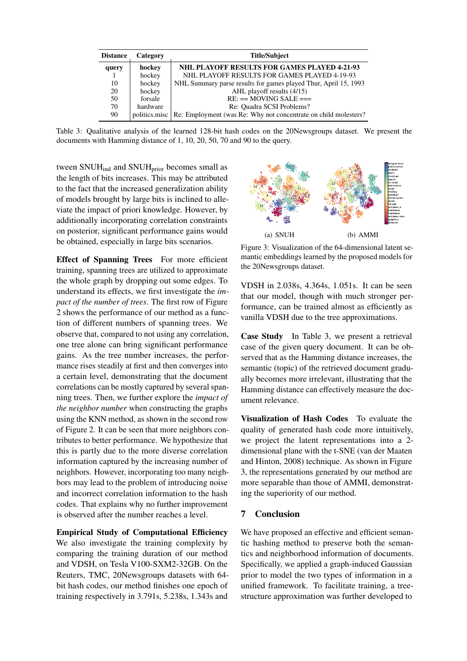| <b>Distance</b> | Category      | <b>Title/Subject</b>                                            |
|-----------------|---------------|-----------------------------------------------------------------|
| query           | hockey        | <b>NHL PLAYOFF RESULTS FOR GAMES PLAYED 4-21-93</b>             |
|                 | hockey        | NHL PLAYOFF RESULTS FOR GAMES PLAYED 4-19-93                    |
| 10              | hockey        | NHL Summary parse results for games played Thur, April 15, 1993 |
| 20              | hockey        | AHL playoff results (4/15)                                      |
| 50              | forsale       | $RE: ==  MOVING SALE ==$                                        |
| 70              | hardware      | Re: Quadra SCSI Problems?                                       |
| 90              | politics.misc | Re: Employment (was Re: Why not concentrate on child molesters? |

Table 3: Qualitative analysis of the learned 128-bit hash codes on the 20Newsgroups dataset. We present the documents with Hamming distance of 1, 10, 20, 50, 70 and 90 to the query.

tween SNUH<sub>ind</sub> and SNUH<sub>prior</sub> becomes small as the length of bits increases. This may be attributed to the fact that the increased generalization ability of models brought by large bits is inclined to alleviate the impact of priori knowledge. However, by additionally incorporating correlation constraints on posterior, significant performance gains would be obtained, especially in large bits scenarios.

Effect of Spanning Trees For more efficient training, spanning trees are utilized to approximate the whole graph by dropping out some edges. To understand its effects, we first investigate the *impact of the number of trees*. The first row of Figure 2 shows the performance of our method as a function of different numbers of spanning trees. We observe that, compared to not using any correlation, one tree alone can bring significant performance gains. As the tree number increases, the performance rises steadily at first and then converges into a certain level, demonstrating that the document correlations can be mostly captured by several spanning trees. Then, we further explore the *impact of the neighbor number* when constructing the graphs using the KNN method, as shown in the second row of Figure 2. It can be seen that more neighbors contributes to better performance. We hypothesize that this is partly due to the more diverse correlation information captured by the increasing number of neighbors. However, incorporating too many neighbors may lead to the problem of introducing noise and incorrect correlation information to the hash codes. That explains why no further improvement is observed after the number reaches a level.

Empirical Study of Computational Efficiency We also investigate the training complexity by comparing the training duration of our method and VDSH, on Tesla V100-SXM2-32GB. On the Reuters, TMC, 20Newsgroups datasets with 64 bit hash codes, our method finishes one epoch of training respectively in 3.791s, 5.238s, 1.343s and



Figure 3: Visualization of the 64-dimensional latent semantic embeddings learned by the proposed models for the 20Newsgroups dataset.

VDSH in 2.038s, 4.364s, 1.051s. It can be seen that our model, though with much stronger performance, can be trained almost as efficiently as vanilla VDSH due to the tree approximations.

Case Study In Table 3, we present a retrieval case of the given query document. It can be observed that as the Hamming distance increases, the semantic (topic) of the retrieved document gradually becomes more irrelevant, illustrating that the Hamming distance can effectively measure the document relevance.

Visualization of Hash Codes To evaluate the quality of generated hash code more intuitively, we project the latent representations into a 2 dimensional plane with the t-SNE (van der Maaten and Hinton, 2008) technique. As shown in Figure 3, the representations generated by our method are more separable than those of AMMI, demonstrating the superiority of our method.

# 7 Conclusion

We have proposed an effective and efficient semantic hashing method to preserve both the semantics and neighborhood information of documents. Specifically, we applied a graph-induced Gaussian prior to model the two types of information in a unified framework. To facilitate training, a treestructure approximation was further developed to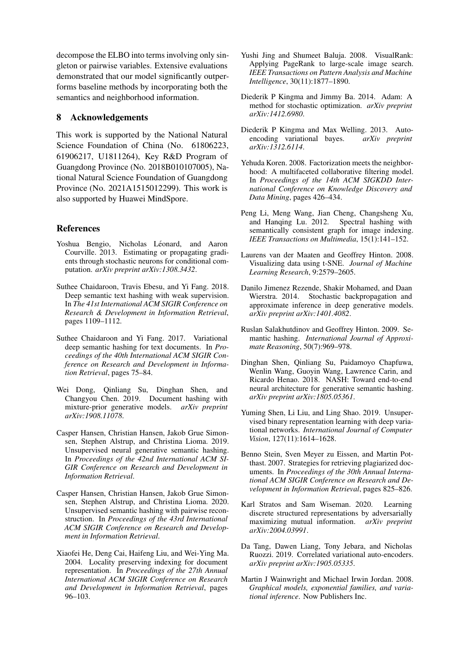decompose the ELBO into terms involving only singleton or pairwise variables. Extensive evaluations demonstrated that our model significantly outperforms baseline methods by incorporating both the semantics and neighborhood information.

### 8 Acknowledgements

This work is supported by the National Natural Science Foundation of China (No. 61806223, 61906217, U1811264), Key R&D Program of Guangdong Province (No. 2018B010107005), National Natural Science Foundation of Guangdong Province (No. 2021A1515012299). This work is also supported by Huawei MindSpore.

### **References**

- Yoshua Bengio, Nicholas Léonard, and Aaron Courville. 2013. Estimating or propagating gradients through stochastic neurons for conditional computation. *arXiv preprint arXiv:1308.3432*.
- Suthee Chaidaroon, Travis Ebesu, and Yi Fang. 2018. Deep semantic text hashing with weak supervision. In *The 41st International ACM SIGIR Conference on Research & Development in Information Retrieval*, pages 1109–1112.
- Suthee Chaidaroon and Yi Fang. 2017. Variational deep semantic hashing for text documents. In *Proceedings of the 40th International ACM SIGIR Conference on Research and Development in Information Retrieval*, pages 75–84.
- Wei Dong, Qinliang Su, Dinghan Shen, and Changyou Chen. 2019. Document hashing with mixture-prior generative models. *arXiv preprint arXiv:1908.11078*.
- Casper Hansen, Christian Hansen, Jakob Grue Simonsen, Stephen Alstrup, and Christina Lioma. 2019. Unsupervised neural generative semantic hashing. In *Proceedings of the 42nd International ACM SI-GIR Conference on Research and Development in Information Retrieval*.
- Casper Hansen, Christian Hansen, Jakob Grue Simonsen, Stephen Alstrup, and Christina Lioma. 2020. Unsupervised semantic hashing with pairwise reconstruction. In *Proceedings of the 43rd International ACM SIGIR Conference on Research and Development in Information Retrieval*.
- Xiaofei He, Deng Cai, Haifeng Liu, and Wei-Ying Ma. 2004. Locality preserving indexing for document representation. In *Proceedings of the 27th Annual International ACM SIGIR Conference on Research and Development in Information Retrieval*, pages 96–103.
- Yushi Jing and Shumeet Baluja. 2008. VisualRank: Applying PageRank to large-scale image search. *IEEE Transactions on Pattern Analysis and Machine Intelligence*, 30(11):1877–1890.
- Diederik P Kingma and Jimmy Ba. 2014. Adam: A method for stochastic optimization. *arXiv preprint arXiv:1412.6980*.
- Diederik P Kingma and Max Welling. 2013. Autoencoding variational bayes. *arXiv preprint arXiv:1312.6114*.
- Yehuda Koren. 2008. Factorization meets the neighborhood: A multifaceted collaborative filtering model. In *Proceedings of the 14th ACM SIGKDD International Conference on Knowledge Discovery and Data Mining*, pages 426–434.
- Peng Li, Meng Wang, Jian Cheng, Changsheng Xu, and Hanqing Lu. 2012. Spectral hashing with semantically consistent graph for image indexing. *IEEE Transactions on Multimedia*, 15(1):141–152.
- Laurens van der Maaten and Geoffrey Hinton. 2008. Visualizing data using t-SNE. *Journal of Machine Learning Research*, 9:2579–2605.
- Danilo Jimenez Rezende, Shakir Mohamed, and Daan Wierstra. 2014. Stochastic backpropagation and approximate inference in deep generative models. *arXiv preprint arXiv:1401.4082*.
- Ruslan Salakhutdinov and Geoffrey Hinton. 2009. Semantic hashing. *International Journal of Approximate Reasoning*, 50(7):969–978.
- Dinghan Shen, Qinliang Su, Paidamoyo Chapfuwa, Wenlin Wang, Guoyin Wang, Lawrence Carin, and Ricardo Henao. 2018. NASH: Toward end-to-end neural architecture for generative semantic hashing. *arXiv preprint arXiv:1805.05361*.
- Yuming Shen, Li Liu, and Ling Shao. 2019. Unsupervised binary representation learning with deep variational networks. *International Journal of Computer Vision*, 127(11):1614–1628.
- Benno Stein, Sven Meyer zu Eissen, and Martin Potthast. 2007. Strategies for retrieving plagiarized documents. In *Proceedings of the 30th Annual International ACM SIGIR Conference on Research and Development in Information Retrieval*, pages 825–826.
- Karl Stratos and Sam Wiseman. 2020. Learning discrete structured representations by adversarially maximizing mutual information. *arXiv preprint arXiv:2004.03991*.
- Da Tang, Dawen Liang, Tony Jebara, and Nicholas Ruozzi. 2019. Correlated variational auto-encoders. *arXiv preprint arXiv:1905.05335*.
- Martin J Wainwright and Michael Irwin Jordan. 2008. *Graphical models, exponential families, and variational inference*. Now Publishers Inc.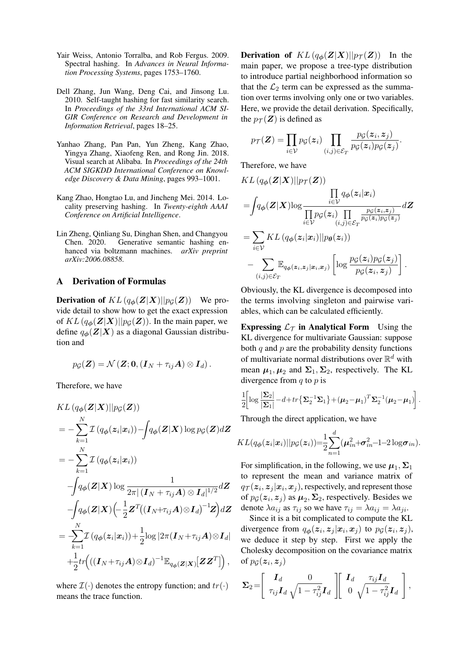- Yair Weiss, Antonio Torralba, and Rob Fergus. 2009. Spectral hashing. In *Advances in Neural Information Processing Systems*, pages 1753–1760.
- Dell Zhang, Jun Wang, Deng Cai, and Jinsong Lu. 2010. Self-taught hashing for fast similarity search. In *Proceedings of the 33rd International ACM SI-GIR Conference on Research and Development in Information Retrieval*, pages 18–25.
- Yanhao Zhang, Pan Pan, Yun Zheng, Kang Zhao, Yingya Zhang, Xiaofeng Ren, and Rong Jin. 2018. Visual search at Alibaba. In *Proceedings of the 24th ACM SIGKDD International Conference on Knowledge Discovery & Data Mining*, pages 993–1001.
- Kang Zhao, Hongtao Lu, and Jincheng Mei. 2014. Locality preserving hashing. In *Twenty-eighth AAAI Conference on Artificial Intelligence*.
- Lin Zheng, Qinliang Su, Dinghan Shen, and Changyou Chen. 2020. Generative semantic hashing enhanced via boltzmann machines. *arXiv preprint arXiv:2006.08858*.

### A Derivation of Formulas

**Derivation of**  $KL(q_{\phi}(Z|X)||p_{\mathcal{G}}(Z))$  We provide detail to show how to get the exact expression of  $KL(q_{\phi}(Z|X)||p_{\mathcal{G}}(Z))$ . In the main paper, we define  $q_{\phi}(Z|X)$  as a diagonal Gaussian distribution and

$$
p_{\mathcal{G}}(\mathbf{Z})=\mathcal{N}(\mathbf{Z};\mathbf{0},(\mathbf{I}_N+\tau_{ij}\mathbf{A})\otimes \mathbf{I}_d).
$$

Therefore, we have

$$
KL(q_{\phi}(\mathbf{Z}|\mathbf{X})||p_{\mathcal{G}}(\mathbf{Z}))
$$
\n
$$
= -\sum_{k=1}^{N} \mathcal{I}(q_{\phi}(z_i|\mathbf{x}_i)) - \int q_{\phi}(\mathbf{Z}|\mathbf{X}) \log p_{\mathcal{G}}(\mathbf{Z}) d\mathbf{Z}
$$
\n
$$
= -\sum_{k=1}^{N} \mathcal{I}(q_{\phi}(z_i|\mathbf{x}_i))
$$
\n
$$
-\int q_{\phi}(\mathbf{Z}|\mathbf{X}) \log \frac{1}{2\pi |(\mathbf{I}_N + \tau_{ij}\mathbf{A}) \otimes \mathbf{I}_d|^{1/2}} d\mathbf{Z}
$$
\n
$$
-\int q_{\phi}(\mathbf{Z}|\mathbf{X}) \left(-\frac{1}{2} \mathbf{Z}^T((\mathbf{I}_N + \tau_{ij}\mathbf{A}) \otimes \mathbf{I}_d)^{-1} \mathbf{Z}\right) d\mathbf{Z}
$$
\n
$$
= \sum_{k=1}^{N} \mathcal{I}(q_{\phi}(z_i|\mathbf{x}_i)) + \frac{1}{2} \log |2\pi(\mathbf{I}_N + \tau_{ij}\mathbf{A}) \otimes \mathbf{I}_d|
$$
\n
$$
+ \frac{1}{2} tr((\mathbf{I}_N + \tau_{ij}\mathbf{A}) \otimes \mathbf{I}_d)^{-1} \mathbb{E}_{q_{\phi}(\mathbf{Z}|\mathbf{X})}[\mathbf{Z}\mathbf{Z}^T]),
$$

where  $\mathcal{I}(\cdot)$  denotes the entropy function; and  $tr(\cdot)$ means the trace function.

**Derivation of**  $KL(q_{\phi}(Z|X)||p_{\mathcal{T}}(Z))$  In the main paper, we propose a tree-type distribution to introduce partial neighborhood information so that the  $\mathcal{L}_2$  term can be expressed as the summation over terms involving only one or two variables. Here, we provide the detail derivation. Specifically, the  $p_{\mathcal{T}}(Z)$  is defined as

$$
p_{\mathcal{T}}(\mathbf{Z}) = \prod_{i \in \mathcal{V}} p_{\mathcal{G}}(\mathbf{z}_i) \prod_{(i,j) \in \mathcal{E}_T} \frac{p_{\mathcal{G}}(\mathbf{z}_i, \mathbf{z}_j)}{p_{\mathcal{G}}(\mathbf{z}_i) p_{\mathcal{G}}(\mathbf{z}_j)}.
$$

Therefore, we have

$$
KL(q_{\phi}(\mathbf{Z}|\mathbf{X})||p_{\mathcal{T}}(\mathbf{Z}))
$$
\n
$$
= \int q_{\phi}(\mathbf{Z}|\mathbf{X})\log \frac{\prod\limits_{i\in\mathcal{V}} q_{\phi}(z_i|\mathbf{x}_i)}{\prod\limits_{i\in\mathcal{V}} p_{\mathcal{G}}(z_i) \prod\limits_{(i,j)\in\mathcal{E}_T} \frac{p_{\mathcal{G}}(z_i,z_j)}{p_{\mathcal{G}}(z_i)p_{\mathcal{G}}(z_j)}} d\mathbf{Z}
$$
\n
$$
= \sum_{i\in\mathcal{V}} KL(q_{\phi}(z_i|\mathbf{x}_i)||p_{\theta}(z_i))
$$
\n
$$
- \sum_{(i,j)\in\mathcal{E}_T} \mathbb{E}_{q_{\phi}(z_i,z_j|\mathbf{x}_i,\mathbf{x}_j)} \left[ \log \frac{p_{\mathcal{G}}(z_i)p_{\mathcal{G}}(z_j)}{p_{\mathcal{G}}(z_i,z_j)} \right].
$$

Obviously, the KL divergence is decomposed into the terms involving singleton and pairwise variables, which can be calculated efficiently.

Expressing  $\mathcal{L}_{\mathcal{T}}$  in Analytical Form Using the KL divergence for multivariate Gaussian: suppose both  $q$  and  $p$  are the probability density functions of multivariate normal distributions over  $\mathbb{R}^d$  with mean  $\mu_1, \mu_2$  and  $\Sigma_1, \Sigma_2$ , respectively. The KL divergence from  $q$  to  $p$  is

$$
\frac{1}{2} \left[ \log \frac{|\mathbf{\Sigma}_2|}{|\mathbf{\Sigma}_1|} - d + tr \left\{ \mathbf{\Sigma}_2^{-1} \mathbf{\Sigma}_1 \right\} + (\boldsymbol{\mu}_2 - \boldsymbol{\mu}_1)^T \mathbf{\Sigma}_2^{-1} (\boldsymbol{\mu}_2 - \boldsymbol{\mu}_1) \right].
$$

Through the direct application, we have

$$
KL(q_{\boldsymbol{\phi}}(\boldsymbol{z}_i|\boldsymbol{x}_i)||p_{\mathcal{G}}(\boldsymbol{z}_i))=\frac{1}{2}\sum_{n=1}^d(\boldsymbol{\mu}_{in}^2+\boldsymbol{\sigma}_{in}^2-1-2\log \boldsymbol{\sigma}_{in}).
$$

For simplification, in the following, we use  $\mu_1$ ,  $\Sigma_1$ to represent the mean and variance matrix of  $q_{\mathcal{T}}(\boldsymbol{z}_i, \boldsymbol{z}_j | \boldsymbol{x}_i, \boldsymbol{x}_j)$ , respectively, and represent those of  $p_{\mathcal{G}}(z_i, z_j)$  as  $\mu_2, \Sigma_2$ , respectively. Besides we denote  $\lambda a_{ij}$  as  $\tau_{ij}$  so we have  $\tau_{ij} = \lambda a_{ij} = \lambda a_{ji}$ .

Since it is a bit complicated to compute the KL divergence from  $q_{\phi}(z_i, z_j | x_i, x_j)$  to  $p_{\mathcal{G}}(z_i, z_j)$ , we deduce it step by step. First we apply the Cholesky decomposition on the covariance matrix of  $p_{\mathcal{G}}(\boldsymbol{z}_i, \boldsymbol{z}_j)$ 

$$
\Sigma_2 = \left[ \begin{array}{cc} \mathbf{I}_d & 0 \\ \tau_{ij} \mathbf{I}_d & \sqrt{1 - \tau_{ij}^2} \mathbf{I}_d \end{array} \right] \left[ \begin{array}{cc} \mathbf{I}_d & \tau_{ij} \mathbf{I}_d \\ 0 & \sqrt{1 - \tau_{ij}^2} \mathbf{I}_d \end{array} \right],
$$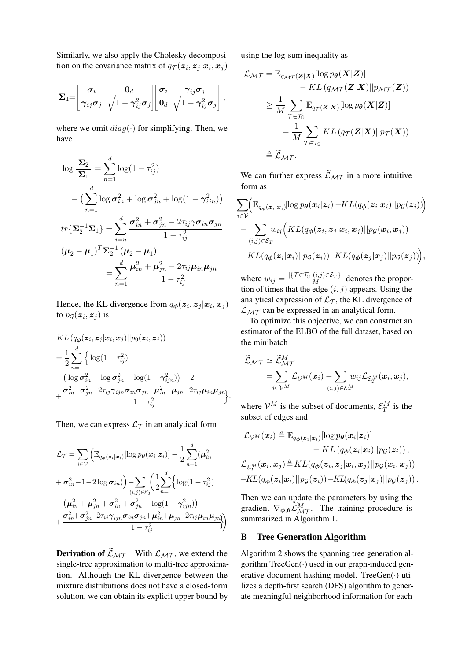Similarly, we also apply the Cholesky decomposition on the covariance matrix of  $q_{\mathcal{T}}(z_i, z_j | x_i, x_j)$ 

$$
\boldsymbol{\Sigma}_{1}=\left[\begin{matrix}\boldsymbol{\sigma}_{i} & \mathbf{0}_{d} \\ \gamma_{ij}\boldsymbol{\sigma}_{j} & \sqrt{1-\gamma_{ij}^{2}}\boldsymbol{\sigma}_{j} \end{matrix}\right]\left[\begin{matrix}\boldsymbol{\sigma}_{i} & \gamma_{ij}\boldsymbol{\sigma}_{j} \\ \mathbf{0}_{d} & \sqrt{1-\gamma_{ij}^{2}}\boldsymbol{\sigma}_{j} \end{matrix}\right],
$$

where we omit  $diag(\cdot)$  for simplifying. Then, we have

$$
\log \frac{|\Sigma_2|}{|\Sigma_1|} = \sum_{n=1}^d \log(1 - \tau_{ij}^2)
$$
  
 
$$
- \left(\sum_{n=1}^d \log \sigma_{in}^2 + \log \sigma_{jn}^2 + \log(1 - \gamma_{ijn}^2)\right)
$$
  

$$
tr{\Sigma_2^{-1} \Sigma_1} = \sum_{i=n}^d \frac{\sigma_{in}^2 + \sigma_{jn}^2 - 2\tau_{ij}\gamma\sigma_{in}\sigma_{jn}}{1 - \tau_{ij}^2}
$$
  

$$
(\mu_2 - \mu_1)^T \Sigma_2^{-1} (\mu_2 - \mu_1)
$$
  

$$
= \sum_{n=1}^d \frac{\mu_{in}^2 + \mu_{jn}^2 - 2\tau_{ij}\mu_{in}\mu_{jn}}{1 - \tau_{ij}^2}.
$$

Hence, the KL divergence from  $q_{\phi}(z_i, z_j | x_i, x_j)$ to  $p_{\mathcal{G}}(\boldsymbol{z}_i, \boldsymbol{z}_j)$  is

$$
KL (q_{\phi}(\mathbf{z}_i, \mathbf{z}_j | \mathbf{x}_i, \mathbf{x}_j) || p_0(\mathbf{z}_i, \mathbf{z}_j))
$$
  
=  $\frac{1}{2} \sum_{n=1}^d \left\{ \log(1 - \tau_{ij}^2) - (\log \sigma_{in}^2 + \log \sigma_{jn}^2 + \log(1 - \gamma_{ijn}^2)) - 2 + \frac{\sigma_{in}^2 + \sigma_{jn}^2 - 2\tau_{ij}\gamma_{ijn}\sigma_{in}\sigma_{jn} + \mu_{in}^2 + \mu_{jn} - 2\tau_{ij}\mu_{in}\mu_{jn}}{1 - \tau_{ij}^2} \right\}.$ 

Then, we can express  $\mathcal{L}_{\mathcal{T}}$  in an analytical form

$$
\mathcal{L}_{\mathcal{T}} = \sum_{i \in \mathcal{V}} \left( \mathbb{E}_{q_{\phi}(\mathbf{z}_{i}|\mathbf{x}_{i})} [\log p_{\theta}(\mathbf{x}_{i}|\mathbf{z}_{i})] - \frac{1}{2} \sum_{n=1}^{d} (\boldsymbol{\mu}_{in}^{2} + \boldsymbol{\sigma}_{in}^{2} - 1 - 2 \log \boldsymbol{\sigma}_{in}) \right) - \sum_{(i,j) \in \mathcal{E}_{T}} \left( \frac{1}{2} \sum_{n=1}^{d} \left\{ \log(1 - \tau_{ij}^{2}) - (\boldsymbol{\mu}_{in}^{2} + \boldsymbol{\mu}_{in}^{2} + \boldsymbol{\sigma}_{in}^{2} + \boldsymbol{\sigma}_{in}^{2} + \log(1 - \gamma_{ijn}^{2})) - \frac{\boldsymbol{\sigma}_{in}^{2} + \boldsymbol{\sigma}_{in}^{2} + \boldsymbol{\sigma}_{in}^{2} + \boldsymbol{\sigma}_{in}^{2} + \log(1 - \gamma_{ijn}^{2}))}{1 - \tau_{ij}^{2}} \right)
$$

**Derivation of**  $\widetilde{\mathcal{L}}_{\mathcal{MT}}$  With  $\mathcal{L}_{\mathcal{MT}}$ , we extend the single-tree approximation to multi-tree approximation. Although the KL divergence between the mixture distributions does not have a closed-form solution, we can obtain its explicit upper bound by using the log-sum inequality as

$$
\mathcal{L}_{\mathcal{MT}} = \mathbb{E}_{q_{\mathcal{MT}}(\mathbf{Z}|\mathbf{X})}[\log p_{\theta}(\mathbf{X}|\mathbf{Z})] \n- KL (q_{\mathcal{MT}}(\mathbf{Z}|\mathbf{X})||p_{\mathcal{MT}}(\mathbf{Z})) \n\geq \frac{1}{M} \sum_{\mathcal{T} \in \mathcal{T}_{G}} \mathbb{E}_{q_{\mathcal{T}}(\mathbf{Z}|\mathbf{X})}[\log p_{\theta}(\mathbf{X}|\mathbf{Z})] \n- \frac{1}{M} \sum_{\mathcal{T} \in \mathcal{T}_{G}} KL (q_{\mathcal{T}}(\mathbf{Z}|\mathbf{X})||p_{\mathcal{T}}(\mathbf{X})) \n\triangleq \widetilde{\mathcal{L}}_{\mathcal{MT}}.
$$

We can further express  $\widetilde{\mathcal{L}}_{\mathcal{MT}}$  in a more intuitive form as

$$
\sum_{i\in\mathcal{V}} \Biggl(\mathbb{E}_{q_{\boldsymbol{\phi}}(\boldsymbol{z}_i|\boldsymbol{x}_i)}[\log p_{\boldsymbol{\theta}}(\boldsymbol{x}_i|\boldsymbol{z}_i)] - KL(q_{\boldsymbol{\phi}}(\boldsymbol{z}_i|\boldsymbol{x}_i)||p_{\mathcal{G}}(\boldsymbol{z}_i))\Biggr)\\-\sum_{(i,j)\in\mathcal{E}_T} w_{ij}\Bigl(KL(q_{\boldsymbol{\phi}}(\boldsymbol{z}_i,\boldsymbol{z}_j|\boldsymbol{x}_i,\boldsymbol{x}_j)||p_{\mathcal{G}}(\boldsymbol{x}_i,\boldsymbol{x}_j))\\-KL(q_{\boldsymbol{\phi}}(\boldsymbol{z}_i|\boldsymbol{x}_i)||p_{\mathcal{G}}(\boldsymbol{z}_i)) - KL(q_{\boldsymbol{\phi}}(\boldsymbol{z}_j|\boldsymbol{x}_j)||p_{\mathcal{G}}(\boldsymbol{z}_j))\Bigr),\,
$$

where  $w_{ij} = \frac{|\{\mathcal{T} \in \mathcal{T}_{\mathbb{G}} | (i,j) \in \mathcal{E}_{T} \}|}{M}$  denotes the proportion of times that the edge  $(i, j)$  appears. Using the analytical expression of  $\mathcal{L}_{\mathcal{T}}$ , the KL divergence of  $\mathcal{L}_{MT}$  can be expressed in an analytical form.

To optimize this objective, we can construct an estimator of the ELBO of the full dataset, based on the minibatch

$$
\widetilde{\mathcal{L}}_{\mathcal{MT}} \simeq \widetilde{\mathcal{L}}_{\mathcal{MT}}^{M}\hspace{-.5cm} = \hspace{-.5cm}\sum_{i \in \mathcal{V}^{M}} \hspace{-.5cm} \mathcal{L}_{\mathcal{V}^{M}}(\boldsymbol{x}_{i}) - \hspace{-.5cm} \sum_{(i,j) \in \mathcal{E}_{T}^{M}} \hspace{-.5cm} w_{ij} \mathcal{L}_{\mathcal{E}_{T}^{M}}(\boldsymbol{x}_{i}, \boldsymbol{x}_{j}),
$$

where  $V^M$  is the subset of documents,  $\mathcal{E}_T^M$  is the subset of edges and

$$
\mathcal{L}_{\mathcal{V}^M}(x_i) \triangleq \mathbb{E}_{q_{\boldsymbol{\phi}}(z_i|x_i)}[\log p_{\boldsymbol{\theta}}(x_i|z_i)] \n- KL\left(q_{\boldsymbol{\phi}}(z_i|x_i)||p_{\mathcal{G}}(z_i)\right);\n\mathcal{L}_{\mathcal{E}_T^M}(x_i, x_j) \triangleq KL(q_{\boldsymbol{\phi}}(z_i, z_j|x_i, x_j)||p_{\mathcal{G}}(x_i, x_j)) \n- KL(q_{\boldsymbol{\phi}}(z_i|x_i)||p_{\mathcal{G}}(z_i)) - KL(q_{\boldsymbol{\phi}}(z_j|x_j)||p_{\mathcal{G}}(z_j)).
$$

Then we can update the parameters by using the gradient  $\nabla_{\phi,\theta} \widetilde{\mathcal{L}}_{\mathcal{MT}}^M$ . The training procedure is summarized in Algorithm 1.

### B Tree Generation Algorithm

Algorithm 2 shows the spanning tree generation algorithm  $TreeGen(\cdot)$  used in our graph-induced generative document hashing model. TreeGen(·) utilizes a depth-first search (DFS) algorithm to generate meaningful neighborhood information for each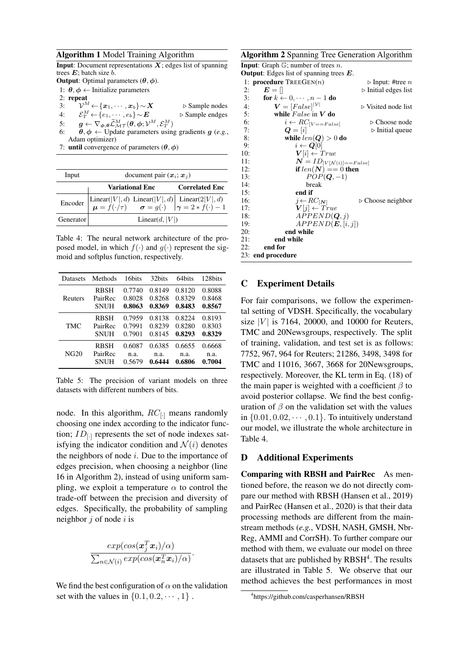#### Algorithm 1 Model Training Algorithm

**Input:** Document representations  $X$ ; edges list of spanning trees  $E$ ; batch size  $\overline{b}$ .

**Output:** Optimal parameters  $(\theta, \phi)$ .

- 1:  $\theta$ ,  $\phi$  ← Initialize parameters
- 2: repeat
- 3:  $\widetilde{\mathcal{V}}^M$  $\leftarrow \{\boldsymbol{x}_1, \cdots, \boldsymbol{x}_b\} \sim \boldsymbol{X}$  .  $\triangleright$  Sample nodes 4:  $\mathcal{E}_T^M \leftarrow \{e_1, \cdots, e_b\} \sim \mathbf{E}$   $\triangleright$  Sample endges
- 5:  $g \leftarrow \nabla_{\boldsymbol{\phi}, \boldsymbol{\theta}} \widetilde{\mathcal{L}}_{M\mathcal{T}}^M(\boldsymbol{\theta}, \boldsymbol{\phi}; \mathcal{V}^M, \mathcal{E}^M_{T})$
- 6:  $\theta, \phi \leftarrow$  Update parameters using gradients g (e.g., Adam optimizer)
- 7: until convergence of parameters  $(\theta, \phi)$

| Input     | document pair $(x_i; x_j)$                                                                                                                 |                       |  |  |  |
|-----------|--------------------------------------------------------------------------------------------------------------------------------------------|-----------------------|--|--|--|
|           | Variational Enc                                                                                                                            | <b>Correlated Enc</b> |  |  |  |
|           | Encoder Linear( $ V , d$ ) Linear( $ V , d$ ) Linear( $2 V , d$ )<br>$\mu = f(\cdot/\tau)$ $\sigma = g(\cdot)$ $\gamma = 2 * f(\cdot) - 1$ |                       |  |  |  |
| Generator | Linear $(d,  V )$                                                                                                                          |                       |  |  |  |

Table 4: The neural network architecture of the proposed model, in which  $f(\cdot)$  and  $g(\cdot)$  represent the sigmoid and softplus function, respectively.

| Datasets | Methods     | 16bits | 32 <sub>bits</sub> | 64bits | 128bits |
|----------|-------------|--------|--------------------|--------|---------|
| Reuters  | <b>RBSH</b> | 0.7740 | 0.8149             | 0.8120 | 0.8088  |
|          | PairRec     | 0.8028 | 0.8268             | 0.8329 | 0.8468  |
|          | <b>SNUH</b> | 0.8063 | 0.8369             | 0.8483 | 0.8567  |
| TMC      | RBSH        | 0.7959 | 0.8138             | 0.8224 | 0.8193  |
|          | PairRec     | 0.7991 | 0.8239             | 0.8280 | 0.8303  |
|          | <b>SNUH</b> | 0.7901 | 0.8145             | 0.8293 | 0.8329  |
| NG20     | <b>RBSH</b> | 0.6087 | 0.6385             | 0.6655 | 0.6668  |
|          | PairRec     | n.a.   | n.a.               | n.a.   | n.a.    |
|          | <b>SNUH</b> | 0.5679 | 0.6444             | 0.6806 | 0.7004  |

Table 5: The precision of variant models on three datasets with different numbers of bits.

node. In this algorithm,  $RC_{[-]}$  means randomly choosing one index according to the indicator function;  $ID_{[\cdot]}$  represents the set of node indexes satisfying the indicator condition and  $\mathcal{N}(i)$  denotes the neighbors of node  $i$ . Due to the importance of edges precision, when choosing a neighbor (line 16 in Algorithm 2), instead of using uniform sampling, we exploit a temperature  $\alpha$  to control the trade-off between the precision and diversity of edges. Specifically, the probability of sampling neighbor  $j$  of node  $i$  is

$$
\frac{exp(cos(\bm{x}_j^T\bm{x}_i)/\alpha)}{\sum_{n\in\mathcal{N}(i)}exp(cos(\bm{x}_n^T\bm{x}_i)/\alpha)}
$$

.

We find the best configuration of  $\alpha$  on the validation set with the values in  $\{0.1, 0.2, \dots, 1\}$ .

### Algorithm 2 Spanning Tree Generation Algorithm

**Input:** Graph  $\mathbb{G}$ ; number of trees *n*.

```
Output: Edges list of spanning trees E.
```

|     | 1: <b>procedure</b> $TREEGEN(n)$     | $\triangleright$ Input: #tree n     |
|-----|--------------------------------------|-------------------------------------|
| 2:  | $E = \parallel$                      | $\triangleright$ Initial edges list |
| 3:  | for $k \leftarrow 0, \cdots, n-1$ do |                                     |
| 4:  | $V = [False]^{ \mathcal{V} }$        | $\triangleright$ Visited node list  |
| 5:  | while $False$ in $V$ do              |                                     |
| 6:  | $i \leftarrow RC_{[V == False]}$     | $\triangleright$ Choose node        |
| 7:  | $\boldsymbol{Q} =  \boldsymbol{i} $  | $\triangleright$ Initial queue      |
| 8:  | while $len(Q) > 0$ do                |                                     |
| 9:  | $i \leftarrow Q[0]$                  |                                     |
| 10: | $V[i] \leftarrow True$               |                                     |
| 11: | $N = ID_{[V N(i)] == False]}$        |                                     |
| 12: | if $len(N) == 0$ then                |                                     |
| 13: | $POP(Q, -1)$                         |                                     |
| 14: | break                                |                                     |
| 15: | end if                               |                                     |
| 16: | $j \leftarrow RC_{\lceil N \rceil}$  | $\triangleright$ Choose neighbor    |
| 17: | $V[i] \leftarrow True$               |                                     |
| 18: | APPEND(Q, j)                         |                                     |
| 19: | APPEND(E, [i, j])                    |                                     |
| 20: | end while                            |                                     |
| 21: | end while                            |                                     |
| 22: | end for                              |                                     |
|     | 23: end procedure                    |                                     |

### C Experiment Details

For fair comparisons, we follow the experimental setting of VDSH. Specifically, the vocabulary size  $|V|$  is 7164, 20000, and 10000 for Reuters, TMC and 20Newsgroups, respectively. The split of training, validation, and test set is as follows: 7752, 967, 964 for Reuters; 21286, 3498, 3498 for TMC and 11016, 3667, 3668 for 20Newsgroups, respectively. Moreover, the KL term in Eq. (18) of the main paper is weighted with a coefficient  $\beta$  to avoid posterior collapse. We find the best configuration of  $\beta$  on the validation set with the values in  $\{0.01, 0.02, \cdots, 0.1\}$ . To intuitively understand our model, we illustrate the whole architecture in Table 4.

### D Additional Experiments

Comparing with RBSH and PairRec As mentioned before, the reason we do not directly compare our method with RBSH (Hansen et al., 2019) and PairRec (Hansen et al., 2020) is that their data processing methods are different from the mainstream methods (*e.g.*, VDSH, NASH, GMSH, Nbr-Reg, AMMI and CorrSH). To further compare our method with them, we evaluate our model on three datasets that are published by  $RBSH<sup>4</sup>$ . The results are illustrated in Table 5. We observe that our method achieves the best performances in most

<sup>4</sup> https://github.com/casperhansen/RBSH